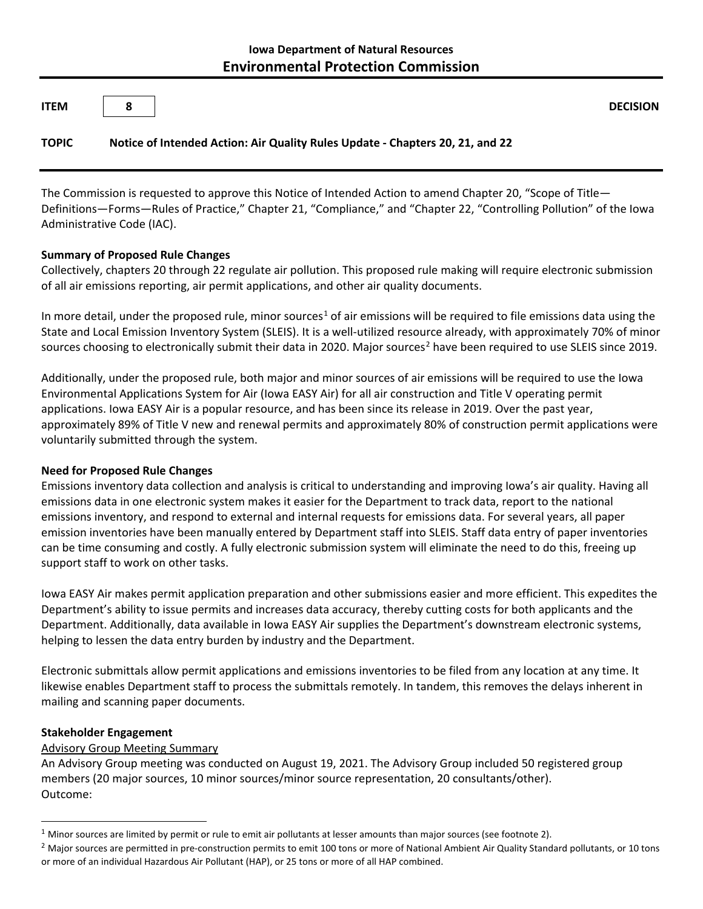| <b>ITEM</b>  | 8 |                                                                               | <b>DECISION</b> |
|--------------|---|-------------------------------------------------------------------------------|-----------------|
| <b>TOPIC</b> |   | Notice of Intended Action: Air Quality Rules Update - Chapters 20, 21, and 22 |                 |

The Commission is requested to approve this Notice of Intended Action to amend Chapter 20, "Scope of Title— Definitions—Forms—Rules of Practice," Chapter 21, "Compliance," and "Chapter 22, "Controlling Pollution" of the Iowa Administrative Code (IAC).

## **Summary of Proposed Rule Changes**

Collectively, chapters 20 through 22 regulate air pollution. This proposed rule making will require electronic submission of all air emissions reporting, air permit applications, and other air quality documents.

In more detail, under the proposed rule, minor sources<sup>[1](#page-0-0)</sup> of air emissions will be required to file emissions data using the State and Local Emission Inventory System (SLEIS). It is a well-utilized resource already, with approximately 70% of minor sources choosing to electronically submit their data in [2](#page-0-1)020. Major sources<sup>2</sup> have been required to use SLEIS since 2019.

Additionally, under the proposed rule, both major and minor sources of air emissions will be required to use the Iowa Environmental Applications System for Air (Iowa EASY Air) for all air construction and Title V operating permit applications. Iowa EASY Air is a popular resource, and has been since its release in 2019. Over the past year, approximately 89% of Title V new and renewal permits and approximately 80% of construction permit applications were voluntarily submitted through the system.

# **Need for Proposed Rule Changes**

Emissions inventory data collection and analysis is critical to understanding and improving Iowa's air quality. Having all emissions data in one electronic system makes it easier for the Department to track data, report to the national emissions inventory, and respond to external and internal requests for emissions data. For several years, all paper emission inventories have been manually entered by Department staff into SLEIS. Staff data entry of paper inventories can be time consuming and costly. A fully electronic submission system will eliminate the need to do this, freeing up support staff to work on other tasks.

Iowa EASY Air makes permit application preparation and other submissions easier and more efficient. This expedites the Department's ability to issue permits and increases data accuracy, thereby cutting costs for both applicants and the Department. Additionally, data available in Iowa EASY Air supplies the Department's downstream electronic systems, helping to lessen the data entry burden by industry and the Department.

Electronic submittals allow permit applications and emissions inventories to be filed from any location at any time. It likewise enables Department staff to process the submittals remotely. In tandem, this removes the delays inherent in mailing and scanning paper documents.

### **Stakeholder Engagement**

 $\overline{a}$ 

# Advisory Group Meeting Summary

An Advisory Group meeting was conducted on August 19, 2021. The Advisory Group included 50 registered group members (20 major sources, 10 minor sources/minor source representation, 20 consultants/other). Outcome:

<span id="page-0-0"></span> $1$  Minor sources are limited by permit or rule to emit air pollutants at lesser amounts than major sources (see footnote 2).

<span id="page-0-1"></span> $<sup>2</sup>$  Major sources are permitted in pre-construction permits to emit 100 tons or more of National Ambient Air Quality Standard pollutants, or 10 tons</sup> or more of an individual Hazardous Air Pollutant (HAP), or 25 tons or more of all HAP combined.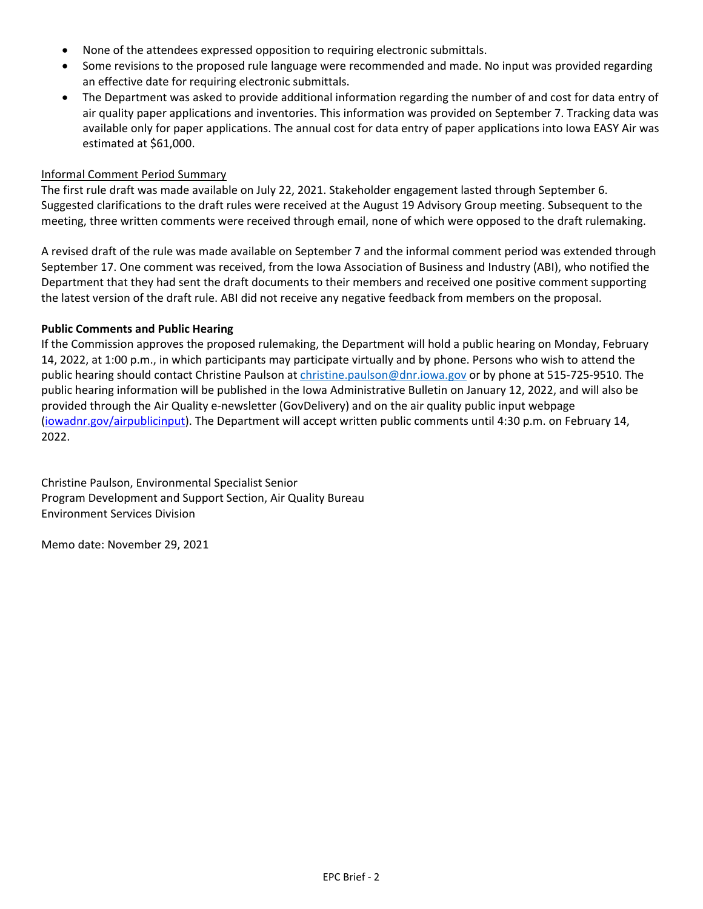- None of the attendees expressed opposition to requiring electronic submittals.
- Some revisions to the proposed rule language were recommended and made. No input was provided regarding an effective date for requiring electronic submittals.
- The Department was asked to provide additional information regarding the number of and cost for data entry of air quality paper applications and inventories. This information was provided on September 7. Tracking data was available only for paper applications. The annual cost for data entry of paper applications into Iowa EASY Air was estimated at \$61,000.

#### Informal Comment Period Summary

The first rule draft was made available on July 22, 2021. Stakeholder engagement lasted through September 6. Suggested clarifications to the draft rules were received at the August 19 Advisory Group meeting. Subsequent to the meeting, three written comments were received through email, none of which were opposed to the draft rulemaking.

A revised draft of the rule was made available on September 7 and the informal comment period was extended through September 17. One comment was received, from the Iowa Association of Business and Industry (ABI), who notified the Department that they had sent the draft documents to their members and received one positive comment supporting the latest version of the draft rule. ABI did not receive any negative feedback from members on the proposal.

#### **Public Comments and Public Hearing**

If the Commission approves the proposed rulemaking, the Department will hold a public hearing on Monday, February 14, 2022, at 1:00 p.m., in which participants may participate virtually and by phone. Persons who wish to attend the public hearing should contact Christine Paulson a[t christine.paulson@dnr.iowa.gov](mailto:christine.paulson@dnr.iowa.gov) or by phone at 515-725-9510. The public hearing information will be published in the Iowa Administrative Bulletin on January 12, 2022, and will also be provided through the Air Quality e-newsletter (GovDelivery) and on the air quality public input webpage [\(iowadnr.gov/airpublicinput\)](http://www.iowadnr.gov/airpublicinput). The Department will accept written public comments until 4:30 p.m. on February 14, 2022.

Christine Paulson, Environmental Specialist Senior Program Development and Support Section, Air Quality Bureau Environment Services Division

Memo date: November 29, 2021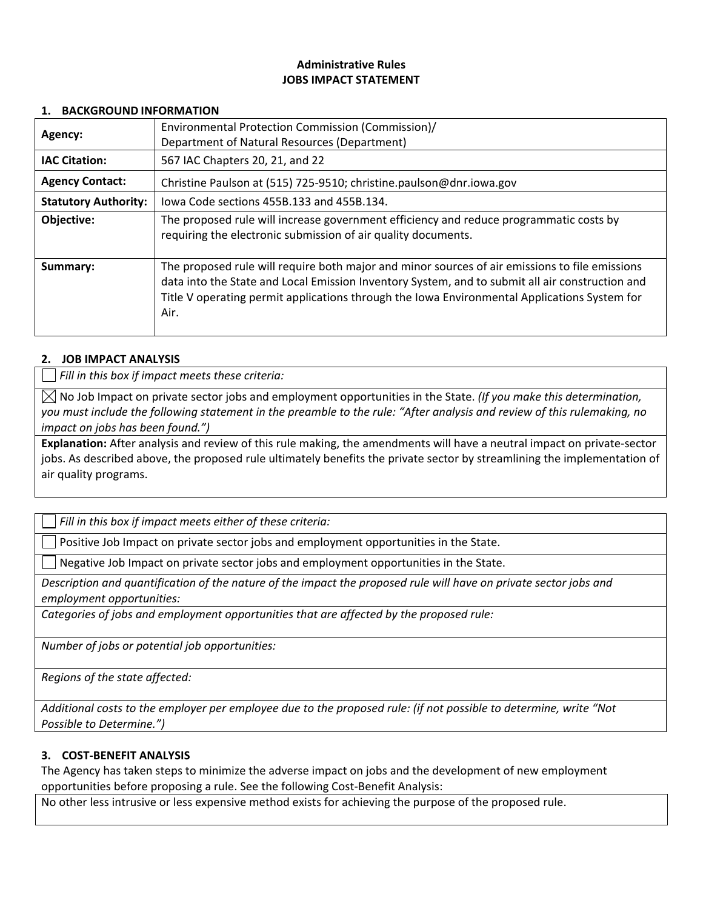# **Administrative Rules JOBS IMPACT STATEMENT**

#### **1. BACKGROUND INFORMATION**

| Agency:                                                 | Environmental Protection Commission (Commission)/<br>Department of Natural Resources (Department)                                                                                                                                                                                                         |  |
|---------------------------------------------------------|-----------------------------------------------------------------------------------------------------------------------------------------------------------------------------------------------------------------------------------------------------------------------------------------------------------|--|
| <b>IAC Citation:</b><br>567 IAC Chapters 20, 21, and 22 |                                                                                                                                                                                                                                                                                                           |  |
| <b>Agency Contact:</b>                                  | Christine Paulson at (515) 725-9510; christine.paulson@dnr.iowa.gov                                                                                                                                                                                                                                       |  |
| <b>Statutory Authority:</b>                             | lowa Code sections 455B.133 and 455B.134.                                                                                                                                                                                                                                                                 |  |
| Objective:                                              | The proposed rule will increase government efficiency and reduce programmatic costs by<br>requiring the electronic submission of air quality documents.                                                                                                                                                   |  |
| Summary:                                                | The proposed rule will require both major and minor sources of air emissions to file emissions<br>data into the State and Local Emission Inventory System, and to submit all air construction and<br>Title V operating permit applications through the Iowa Environmental Applications System for<br>Air. |  |

### **2. JOB IMPACT ANALYSIS**

*Fill in this box if impact meets these criteria:*

 $\boxtimes$  No Job Impact on private sector jobs and employment opportunities in the State. *(If you make this determination, you must include the following statement in the preamble to the rule: "After analysis and review of this rulemaking, no impact on jobs has been found.")*

**Explanation:** After analysis and review of this rule making, the amendments will have a neutral impact on private-sector jobs. As described above, the proposed rule ultimately benefits the private sector by streamlining the implementation of air quality programs.

*Fill in this box if impact meets either of these criteria:*

Positive Job Impact on private sector jobs and employment opportunities in the State.

Negative Job Impact on private sector jobs and employment opportunities in the State.

*Description and quantification of the nature of the impact the proposed rule will have on private sector jobs and employment opportunities:*

*Categories of jobs and employment opportunities that are affected by the proposed rule:* 

*Number of jobs or potential job opportunities:*

*Regions of the state affected:*

*Additional costs to the employer per employee due to the proposed rule: (if not possible to determine, write "Not Possible to Determine.")*

### **3. COST-BENEFIT ANALYSIS**

The Agency has taken steps to minimize the adverse impact on jobs and the development of new employment opportunities before proposing a rule. See the following Cost-Benefit Analysis:

No other less intrusive or less expensive method exists for achieving the purpose of the proposed rule.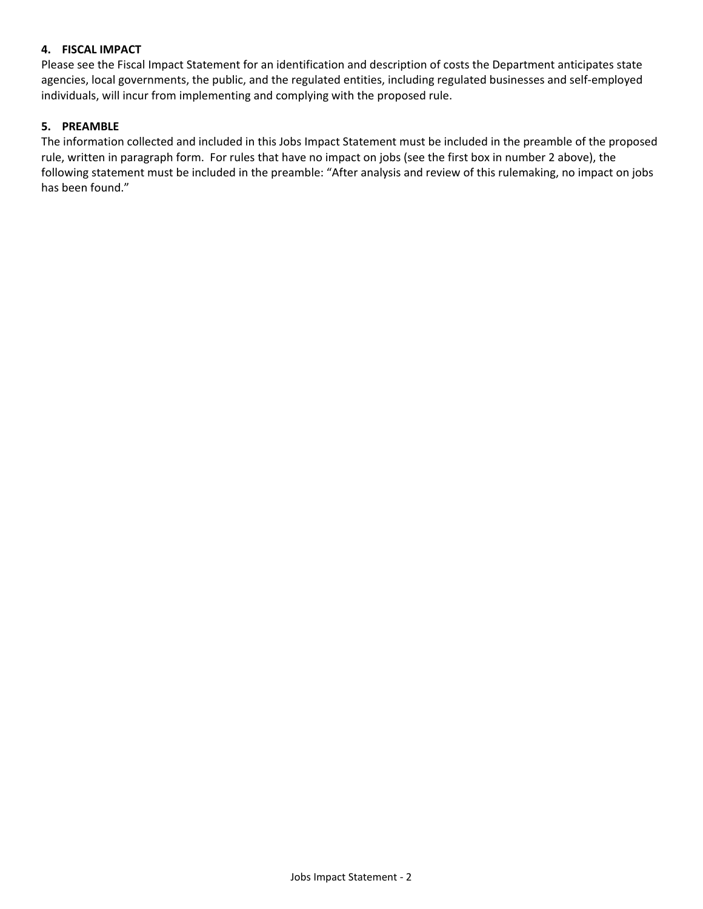## **4. FISCAL IMPACT**

Please see the Fiscal Impact Statement for an identification and description of costs the Department anticipates state agencies, local governments, the public, and the regulated entities, including regulated businesses and self-employed individuals, will incur from implementing and complying with the proposed rule.

## **5. PREAMBLE**

The information collected and included in this Jobs Impact Statement must be included in the preamble of the proposed rule, written in paragraph form. For rules that have no impact on jobs (see the first box in number 2 above), the following statement must be included in the preamble: "After analysis and review of this rulemaking, no impact on jobs has been found."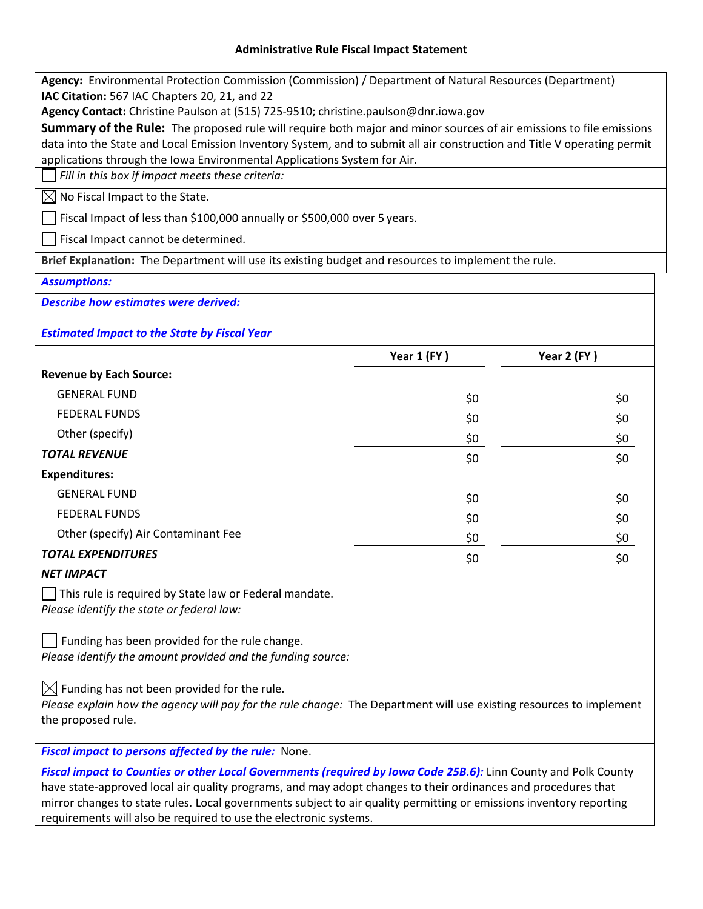#### **Administrative Rule Fiscal Impact Statement**

**Agency:** Environmental Protection Commission (Commission) / Department of Natural Resources (Department) **IAC Citation:** 567 IAC Chapters 20, 21, and 22

**Agency Contact:** Christine Paulson at (515) 725-9510; [christine.paulson@dnr.iowa.gov](mailto:christine.paulson@dnr.iowa.gov)

**Summary of the Rule:** The proposed rule will require both major and minor sources of air emissions to file emissions data into the State and Local Emission Inventory System, and to submit all air construction and Title V operating permit applications through the Iowa Environmental Applications System for Air.

*Fill in this box if impact meets these criteria:*

 $\boxtimes$  No Fiscal Impact to the State.

Fiscal Impact of less than \$100,000 annually or \$500,000 over 5 years.

Fiscal Impact cannot be determined.

**Brief Explanation:** The Department will use its existing budget and resources to implement the rule.

#### *Assumptions:*

*Describe how estimates were derived:*

*Estimated Impact to the State by Fiscal Year*

|                                     | Year 1 (FY) | Year 2 (FY) |
|-------------------------------------|-------------|-------------|
| <b>Revenue by Each Source:</b>      |             |             |
| <b>GENERAL FUND</b>                 | \$0         | \$0         |
| <b>FEDERAL FUNDS</b>                | \$0         | \$0         |
| Other (specify)                     | \$0         | \$0         |
| <b>TOTAL REVENUE</b>                | \$0         | \$0         |
| <b>Expenditures:</b>                |             |             |
| <b>GENERAL FUND</b>                 | \$0         | \$0         |
| <b>FEDERAL FUNDS</b>                | \$0         | \$0         |
| Other (specify) Air Contaminant Fee | \$0         | \$0         |
| <b>TOTAL EXPENDITURES</b>           | \$0         | \$0         |

### *NET IMPACT*

 $\vert \ \vert$  This rule is required by State law or Federal mandate. *Please identify the state or federal law:*

 $\vert \ \vert$  Funding has been provided for the rule change. *Please identify the amount provided and the funding source:*

 $\boxtimes$  Funding has not been provided for the rule.

*Please explain how the agency will pay for the rule change:* The Department will use existing resources to implement the proposed rule.

*Fiscal impact to persons affected by the rule:* None.

*Fiscal impact to Counties or other Local Governments (required by Iowa Code 25B.6):* Linn County and Polk County have state-approved local air quality programs, and may adopt changes to their ordinances and procedures that mirror changes to state rules. Local governments subject to air quality permitting or emissions inventory reporting requirements will also be required to use the electronic systems.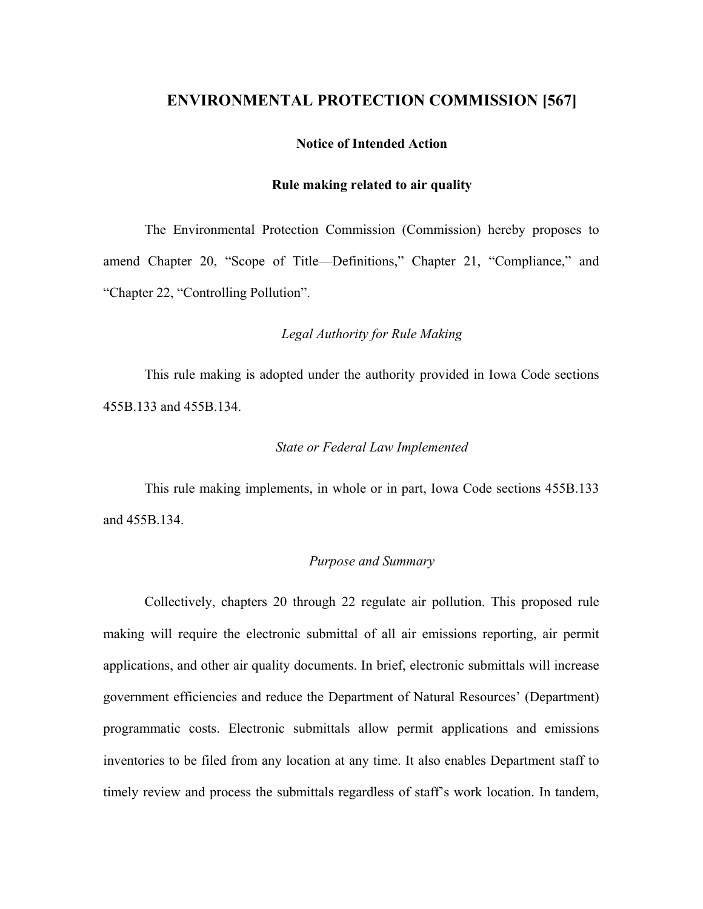# **ENVIRONMENTAL PROTECTION COMMISSION [567]**

#### **Notice of Intended Action**

#### **Rule making related to air quality**

The Environmental Protection Commission (Commission) hereby proposes to amend Chapter 20, "Scope of Title—Definitions," Chapter 21, "Compliance," and "Chapter 22, "Controlling Pollution".

## *Legal Authority for Rule Making*

This rule making is adopted under the authority provided in Iowa Code sections 455B.133 and 455B.134.

### *State or Federal Law Implemented*

This rule making implements, in whole or in part, Iowa Code sections 455B.133 and 455B.134.

## *Purpose and Summary*

Collectively, chapters 20 through 22 regulate air pollution. This proposed rule making will require the electronic submittal of all air emissions reporting, air permit applications, and other air quality documents. In brief, electronic submittals will increase government efficiencies and reduce the Department of Natural Resources' (Department) programmatic costs. Electronic submittals allow permit applications and emissions inventories to be filed from any location at any time. It also enables Department staff to timely review and process the submittals regardless of staff's work location. In tandem,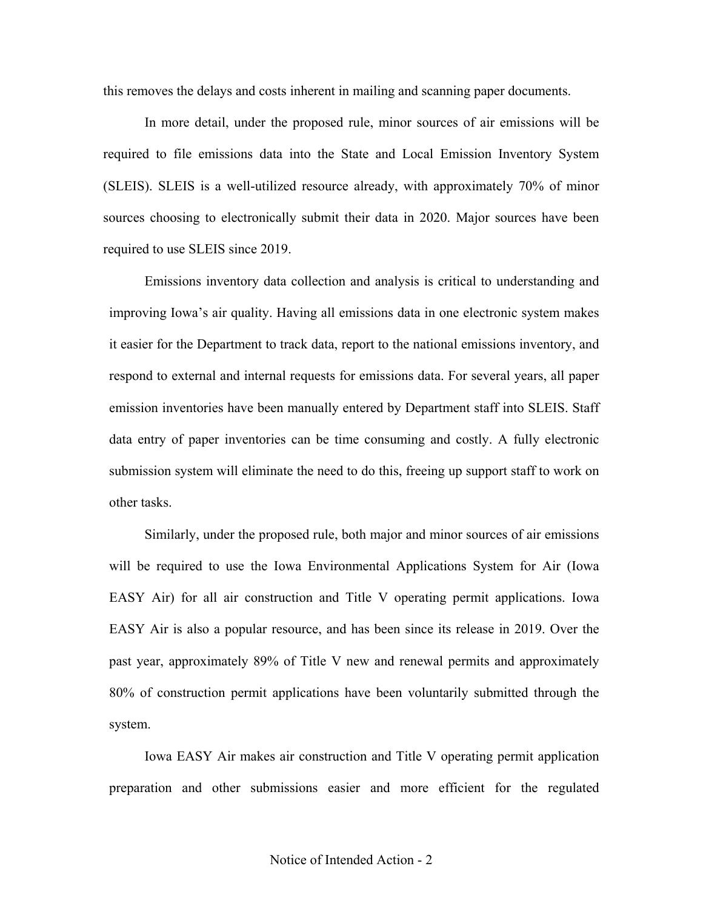this removes the delays and costs inherent in mailing and scanning paper documents.

In more detail, under the proposed rule, minor sources of air emissions will be required to file emissions data into the State and Local Emission Inventory System (SLEIS). SLEIS is a well-utilized resource already, with approximately 70% of minor sources choosing to electronically submit their data in 2020. Major sources have been required to use SLEIS since 2019.

Emissions inventory data collection and analysis is critical to understanding and improving Iowa's air quality. Having all emissions data in one electronic system makes it easier for the Department to track data, report to the national emissions inventory, and respond to external and internal requests for emissions data. For several years, all paper emission inventories have been manually entered by Department staff into SLEIS. Staff data entry of paper inventories can be time consuming and costly. A fully electronic submission system will eliminate the need to do this, freeing up support staff to work on other tasks.

Similarly, under the proposed rule, both major and minor sources of air emissions will be required to use the Iowa Environmental Applications System for Air (Iowa EASY Air) for all air construction and Title V operating permit applications. Iowa EASY Air is also a popular resource, and has been since its release in 2019. Over the past year, approximately 89% of Title V new and renewal permits and approximately 80% of construction permit applications have been voluntarily submitted through the system.

Iowa EASY Air makes air construction and Title V operating permit application preparation and other submissions easier and more efficient for the regulated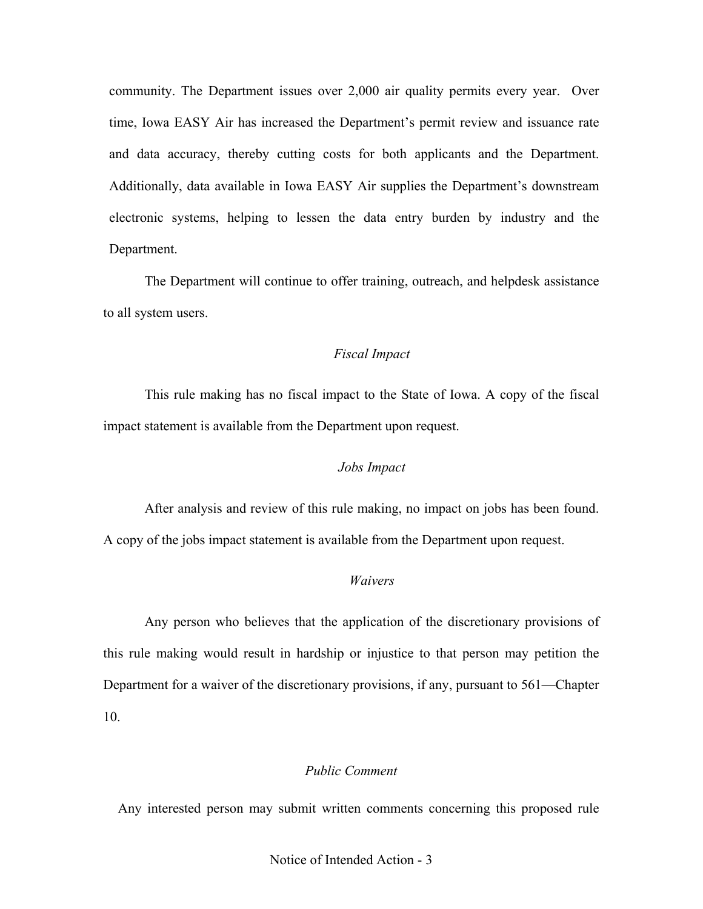community. The Department issues over 2,000 air quality permits every year. Over time, Iowa EASY Air has increased the Department's permit review and issuance rate and data accuracy, thereby cutting costs for both applicants and the Department. Additionally, data available in Iowa EASY Air supplies the Department's downstream electronic systems, helping to lessen the data entry burden by industry and the Department.

The Department will continue to offer training, outreach, and helpdesk assistance to all system users.

# *Fiscal Impact*

This rule making has no fiscal impact to the State of Iowa. A copy of the fiscal impact statement is available from the Department upon request.

## *Jobs Impact*

After analysis and review of this rule making, no impact on jobs has been found. A copy of the jobs impact statement is available from the Department upon request.

## *Waivers*

Any person who believes that the application of the discretionary provisions of this rule making would result in hardship or injustice to that person may petition the Department for a waiver of the discretionary provisions, if any, pursuant to 561—Chapter 10.

# *Public Comment*

Any interested person may submit written comments concerning this proposed rule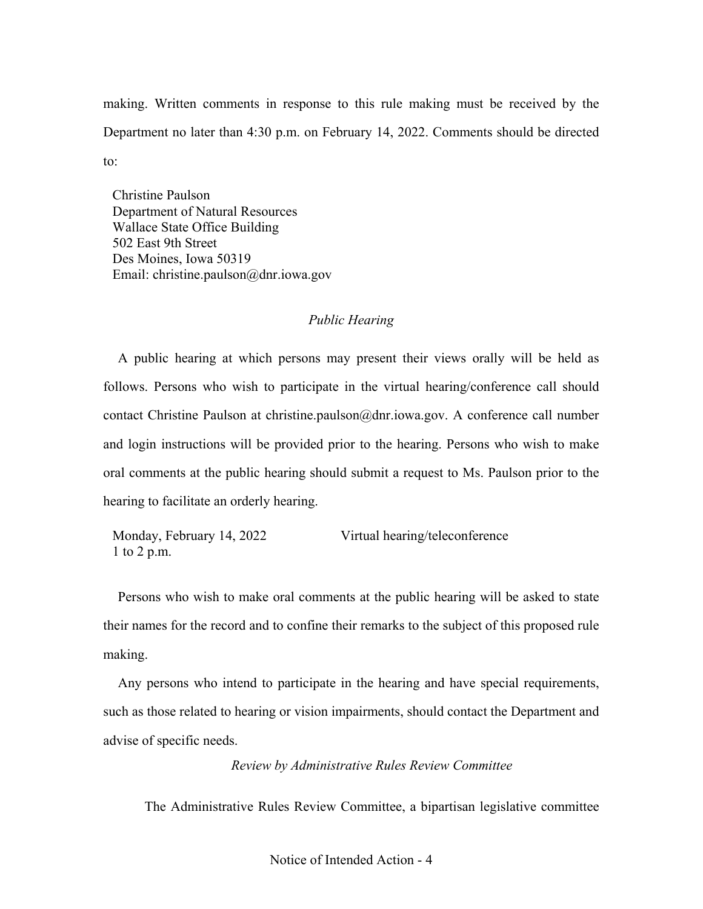making. Written comments in response to this rule making must be received by the Department no later than 4:30 p.m. on February 14, 2022. Comments should be directed to:

Christine Paulson Department of Natural Resources Wallace State Office Building 502 East 9th Street Des Moines, Iowa 50319 Email: [christine.paulson@dnr.iowa.gov](about:blank)

# *Public Hearing*

A public hearing at which persons may present their views orally will be held as follows. Persons who wish to participate in the virtual hearing/conference call should contact Christine Paulson at [christine.paulson@dnr.iowa.gov.](about:blank) A conference call number and login instructions will be provided prior to the hearing. Persons who wish to make oral comments at the public hearing should submit a request to Ms. Paulson prior to the hearing to facilitate an orderly hearing.

Monday, February 14, 2022 1 to 2 p.m. Virtual hearing/teleconference

Persons who wish to make oral comments at the public hearing will be asked to state their names for the record and to confine their remarks to the subject of this proposed rule making.

Any persons who intend to participate in the hearing and have special requirements, such as those related to hearing or vision impairments, should contact the Department and advise of specific needs.

*Review by Administrative Rules Review Committee*

The Administrative Rules Review Committee, a bipartisan legislative committee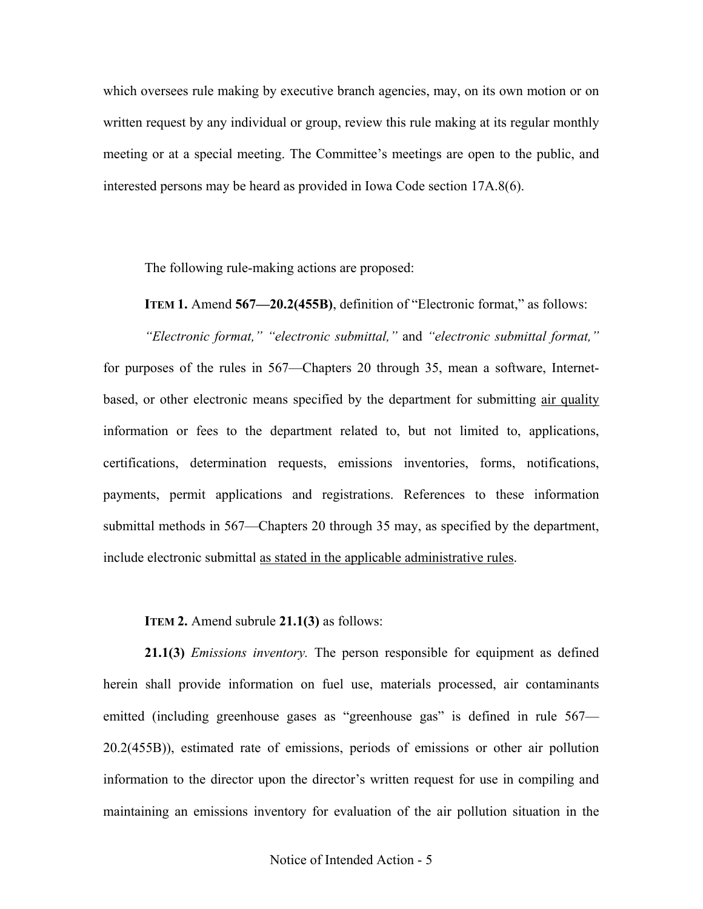which oversees rule making by executive branch agencies, may, on its own motion or on written request by any individual or group, review this rule making at its [regular monthly](about:blank)  [meeting](about:blank) or at a special meeting. The Committee's meetings are open to the public, and interested persons may be heard as provided in Iowa Code section 17A.8(6).

The following rule-making actions are proposed:

**ITEM 1.** Amend **567—20.2(455B)**, definition of "Electronic format," as follows:

*"Electronic format," "electronic submittal,"* and *"electronic submittal format,"* for purposes of the rules in 567—Chapters 20 through 35, mean a software, Internetbased, or other electronic means specified by the department for submitting air quality information or fees to the department related to, but not limited to, applications, certifications, determination requests, emissions inventories, forms, notifications, payments, permit applications and registrations. References to these information submittal methods in 567—Chapters 20 through 35 may, as specified by the department, include electronic submittal as stated in the applicable administrative rules.

**ITEM 2.** Amend subrule **21.1(3)** as follows:

**21.1(3)** *Emissions inventory.* The person responsible for equipment as defined herein shall provide information on fuel use, materials processed, air contaminants emitted (including greenhouse gases as "greenhouse gas" is defined in rule 567— 20.2(455B)), estimated rate of emissions, periods of emissions or other air pollution information to the director upon the director's written request for use in compiling and maintaining an emissions inventory for evaluation of the air pollution situation in the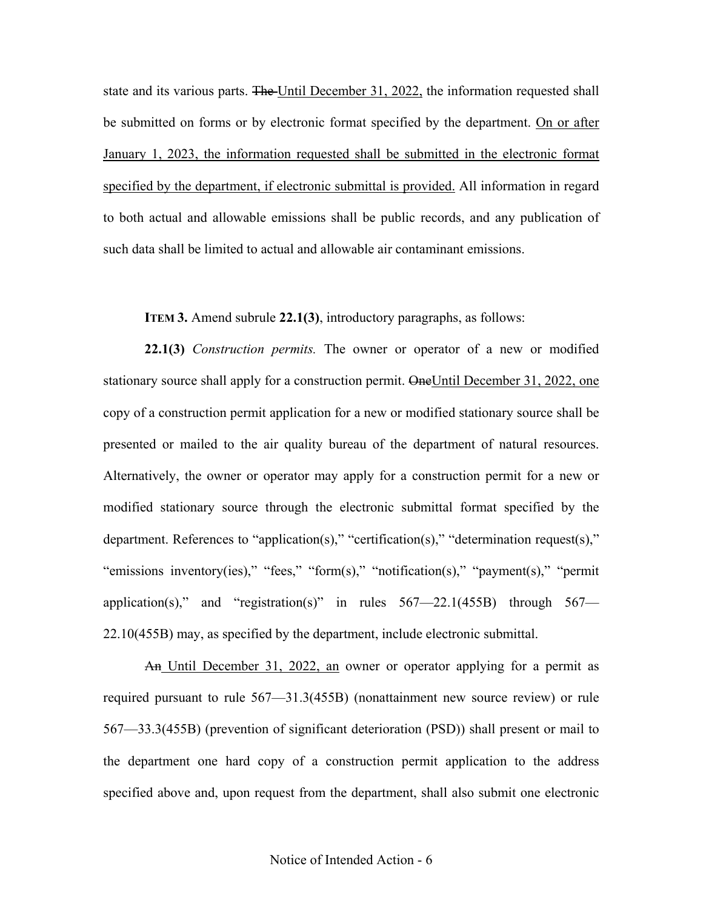state and its various parts. The Until December 31, 2022, the information requested shall be submitted on forms or by electronic format specified by the department. On or after January 1, 2023, the information requested shall be submitted in the electronic format specified by the department, if electronic submittal is provided. All information in regard to both actual and allowable emissions shall be public records, and any publication of such data shall be limited to actual and allowable air contaminant emissions.

**ITEM 3.** Amend subrule **22.1(3)**, introductory paragraphs, as follows:

**22.1(3)** *Construction permits.* The owner or operator of a new or modified stationary source shall apply for a construction permit. One Until December 31, 2022, one copy of a construction permit application for a new or modified stationary source shall be presented or mailed to the air quality bureau of the department of natural resources. Alternatively, the owner or operator may apply for a construction permit for a new or modified stationary source through the electronic submittal format specified by the department. References to "application(s)," "certification(s)," "determination request(s)," "emissions inventory(ies)," "fees," "form(s)," "notification(s)," "payment(s)," "permit application(s)," and "registration(s)" in rules  $567 - 22.1(455B)$  through  $567 - 12.1(455B)$ [22.10\(](about:blank)455B) may, as specified by the department, include electronic submittal.

An Until December 31, 2022, an owner or operator applying for a permit as required pursuant to rule [567—31.3\(](about:blank)455B) (nonattainment new source review) or rule [567—33.3\(](about:blank)455B) (prevention of significant deterioration (PSD)) shall present or mail to the department one hard copy of a construction permit application to the address specified above and, upon request from the department, shall also submit one electronic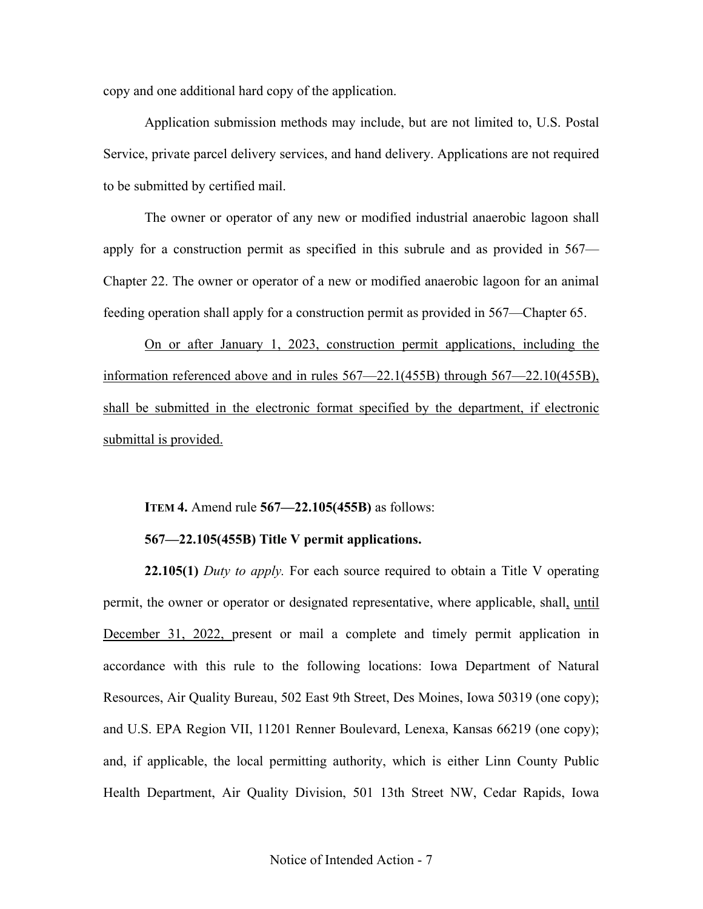copy and one additional hard copy of the application.

Application submission methods may include, but are not limited to, U.S. Postal Service, private parcel delivery services, and hand delivery. Applications are not required to be submitted by certified mail.

The owner or operator of any new or modified industrial anaerobic lagoon shall apply for a construction permit as specified in this subrule and as provided in [567—](about:blank) [Chapter 22.](about:blank) The owner or operator of a new or modified anaerobic lagoon for an animal feeding operation shall apply for a construction permit as provided in [567—Chapter 65.](about:blank)

On or after January 1, 2023, construction permit applications, including the information referenced above and in rules [567—22.1\(](about:blank)455B) through [567—22.10\(](about:blank)455B), shall be submitted in the electronic format specified by the department, if electronic submittal is provided.

**ITEM 4.** Amend rule **567—22.105(455B)** as follows:

## **567—22.105(455B) Title V permit applications.**

**22.105(1)** *Duty to apply.* For each source required to obtain a Title V operating permit, the owner or operator or designated representative, where applicable, shall, until December 31, 2022, present or mail a complete and timely permit application in accordance with this rule to the following locations: Iowa Department of Natural Resources, Air Quality Bureau, 502 East 9th Street, Des Moines, Iowa 50319 (one copy); and U.S. EPA Region VII, 11201 Renner Boulevard, Lenexa, Kansas 66219 (one copy); and, if applicable, the local permitting authority, which is either Linn County Public Health Department, Air Quality Division, 501 13th Street NW, Cedar Rapids, Iowa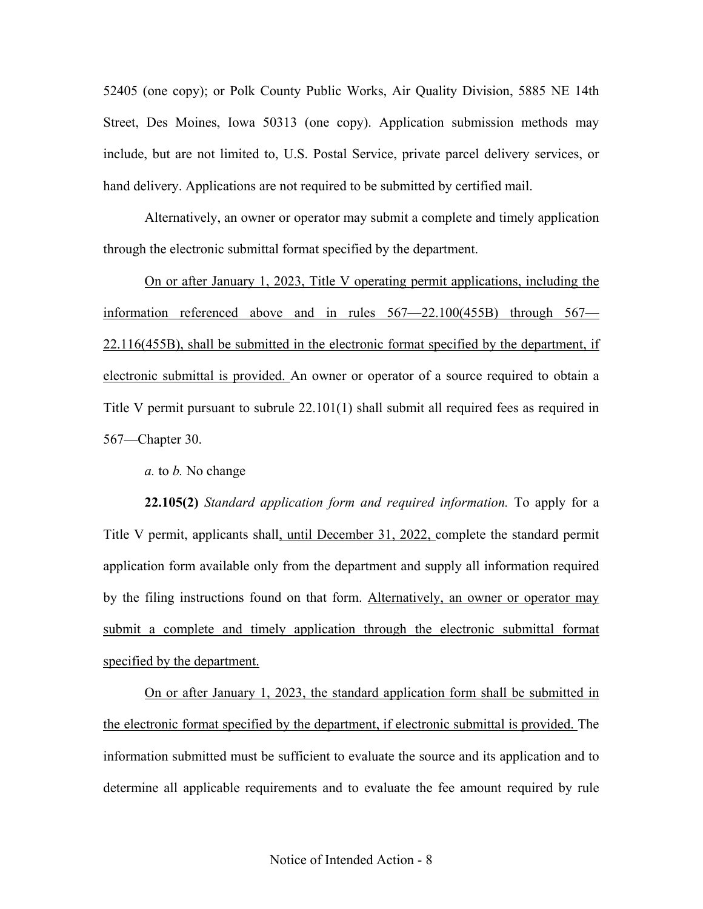52405 (one copy); or Polk County Public Works, Air Quality Division, 5885 NE 14th Street, Des Moines, Iowa 50313 (one copy). Application submission methods may include, but are not limited to, U.S. Postal Service, private parcel delivery services, or hand delivery. Applications are not required to be submitted by certified mail.

Alternatively, an owner or operator may submit a complete and timely application through the electronic submittal format specified by the department.

On or after January 1, 2023, Title V operating permit applications, including the information referenced above and in rules [567—22.10](about:blank)0(455B) through [567—](about:blank) [22.116\(](about:blank)455B), shall be submitted in the electronic format specified by the department, if electronic submittal is provided. An owner or operator of a source required to obtain a Title V permit pursuant to subrule 22.101(1) shall submit all required fees as required in 567—Chapter 30.

*a.* to *b.* No change

**22.105(2)** *Standard application form and required information.* To apply for a Title V permit, applicants shall, until December 31, 2022, complete the standard permit application form available only from the department and supply all information required by the filing instructions found on that form. Alternatively, an owner or operator may submit a complete and timely application through the electronic submittal format specified by the department.

On or after January 1, 2023, the standard application form shall be submitted in the electronic format specified by the department, if electronic submittal is provided. The information submitted must be sufficient to evaluate the source and its application and to determine all applicable requirements and to evaluate the fee amount required by rule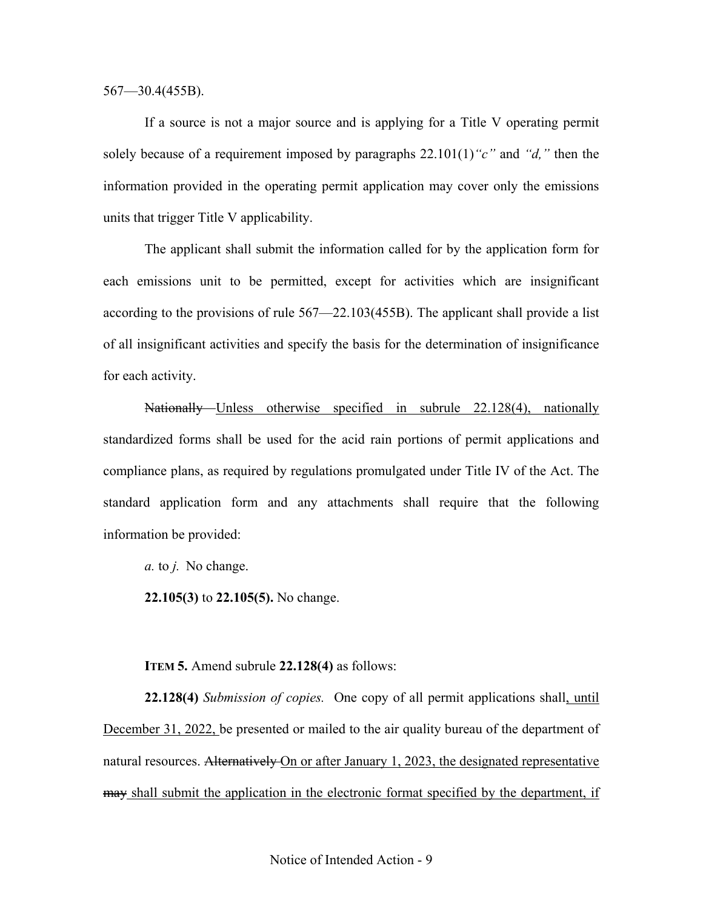567—30.4(455B).

If a source is not a major source and is applying for a Title V operating permit solely because of a requirement imposed by paragraphs 22.101(1)*"c"* and *"d,"* then the information provided in the operating permit application may cover only the emissions units that trigger Title V applicability.

The applicant shall submit the information called for by the application form for each emissions unit to be permitted, except for activities which are insignificant according to the provisions of rule 567—22.103(455B). The applicant shall provide a list of all insignificant activities and specify the basis for the determination of insignificance for each activity.

Nationally Unless otherwise specified in subrule 22.128(4), nationally standardized forms shall be used for the acid rain portions of permit applications and compliance plans, as required by regulations promulgated under Title IV of the Act. The standard application form and any attachments shall require that the following information be provided:

*a.* to *j.* No change.

**22.105(3)** to **22.105(5).** No change.

**ITEM 5.** Amend subrule **22.128(4)** as follows:

**22.128(4)** *Submission of copies.* One copy of all permit applications shall, until December 31, 2022, be presented or mailed to the air quality bureau of the department of natural resources. Alternatively On or after January 1, 2023, the designated representative may shall submit the application in the electronic format specified by the department, if